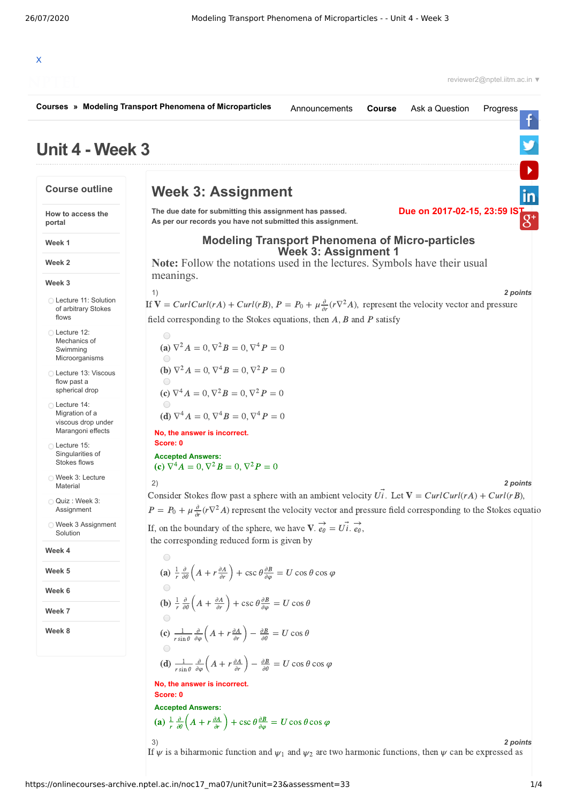|                                                        | Courses » Modeling Transport Phenomena of Microparticles<br>Ask a Question<br>Announcements<br><b>Course</b><br>Progress                                                                                                                                                 |
|--------------------------------------------------------|--------------------------------------------------------------------------------------------------------------------------------------------------------------------------------------------------------------------------------------------------------------------------|
| Unit 4 - Week 3                                        |                                                                                                                                                                                                                                                                          |
| <b>Course outline</b>                                  | <b>Week 3: Assignment</b><br>in                                                                                                                                                                                                                                          |
| How to access the<br>portal                            | Due on 2017-02-15, 23:59 IS<br>The due date for submitting this assignment has passed.<br>$g^*$<br>As per our records you have not submitted this assignment.                                                                                                            |
| Week 1                                                 | <b>Modeling Transport Phenomena of Micro-particles</b>                                                                                                                                                                                                                   |
| Week 2                                                 | <b>Week 3: Assignment 1</b><br>Note: Follow the notations used in the lectures. Symbols have their usual<br>meanings.                                                                                                                                                    |
| Week 3                                                 | 1)<br>2 points                                                                                                                                                                                                                                                           |
| ◯ Lecture 11: Solution<br>of arbitrary Stokes<br>flows | If $V = CurlCurl(rA) + Curl(rB), P = P_0 + \mu \frac{\partial}{\partial r}(r\nabla^2 A)$ , represent the velocity vector and pressure                                                                                                                                    |
| ◯ Lecture 12:                                          | field corresponding to the Stokes equations, then $A$ , $B$ and $P$ satisfy<br>$\bigcirc$                                                                                                                                                                                |
| Mechanics of<br>Swimming<br>Microorganisms             | (a) $\nabla^2 A = 0$ , $\nabla^2 B = 0$ , $\nabla^4 P = 0$                                                                                                                                                                                                               |
| ◯ Lecture 13: Viscous<br>flow past a<br>spherical drop | <b>(b)</b> $\nabla^2 A = 0$ , $\nabla^4 B = 0$ , $\nabla^2 P = 0$                                                                                                                                                                                                        |
| ◯ Lecture 14:<br>Migration of a<br>viscous drop under  | (c) $\nabla^4 A = 0$ , $\nabla^2 B = 0$ , $\nabla^2 P = 0$<br>(d) $\nabla^4 A = 0$ , $\nabla^4 B = 0$ , $\nabla^4 P = 0$                                                                                                                                                 |
| Marangoni effects                                      | No, the answer is incorrect.<br>Score: 0                                                                                                                                                                                                                                 |
| ◯ Lecture 15:<br>Singularities of<br>Stokes flows      | <b>Accepted Answers:</b><br>(c) $\nabla^4 A = 0$ , $\nabla^2 B = 0$ , $\nabla^2 P = 0$                                                                                                                                                                                   |
| Week 3: Lecture<br>Material                            | 2)<br>2 points                                                                                                                                                                                                                                                           |
| Quiz : Week 3:<br>Assignment                           | Consider Stokes flow past a sphere with an ambient velocity $U\overrightarrow{i}$ . Let $V = Curl( rA) + Curl( rB)$ ,<br>$P = P_0 + \mu \frac{\partial}{\partial r} (r \nabla^2 A)$ represent the velocity vector and pressure field corresponding to the Stokes equatio |
| ◯ Week 3 Assignment<br>Solution                        | If, on the boundary of the sphere, we have $V \cdot \vec{e_{\theta}} = U \vec{i} \cdot \vec{e_{\theta}}$ ,<br>the corresponding reduced form is given by                                                                                                                 |
| Week 4                                                 | $\bigcirc$                                                                                                                                                                                                                                                               |
| Week 5                                                 | (a) $\frac{1}{r} \frac{\partial}{\partial \theta} \left( A + r \frac{\partial A}{\partial r} \right) + \csc \theta \frac{\partial B}{\partial \varphi} = U \cos \theta \cos \varphi$                                                                                     |
| Week 6                                                 |                                                                                                                                                                                                                                                                          |
| Week 7                                                 | <b>(b)</b> $\frac{1}{r} \frac{\partial}{\partial \theta} \left( A + \frac{\partial A}{\partial r} \right) + \csc \theta \frac{\partial B}{\partial \varphi} = U \cos \theta$                                                                                             |
| Week 8                                                 | (c) $\frac{1}{r \sin \theta} \frac{\partial}{\partial \varphi} \left( A + r \frac{\partial A}{\partial r} \right) - \frac{\partial B}{\partial \theta} = U \cos \theta$                                                                                                  |
|                                                        | (d) $\frac{1}{r \sin \theta} \frac{\partial}{\partial \omega} \left( A + r \frac{\partial A}{\partial r} \right) - \frac{\partial B}{\partial \theta} = U \cos \theta \cos \varphi$                                                                                      |
|                                                        | No, the answer is incorrect.<br>Score: 0                                                                                                                                                                                                                                 |
|                                                        | <b>Accepted Answers:</b>                                                                                                                                                                                                                                                 |
|                                                        | (a) $\frac{1}{r} \frac{\partial}{\partial \theta} \left( A + r \frac{\partial A}{\partial r} \right) + \csc \theta \frac{\partial B}{\partial \omega} = U \cos \theta \cos \varphi$                                                                                      |
|                                                        | 3)<br>2 points                                                                                                                                                                                                                                                           |

https://onlinecourses-archive.nptel.ac.in/noc17\_ma07/unit?unit=23&assessment=33 1/4

If  $\psi$  is a biharmonic function and  $\psi_1$  and  $\psi_2$  are two harmonic functions, then  $\psi$  can be expressed as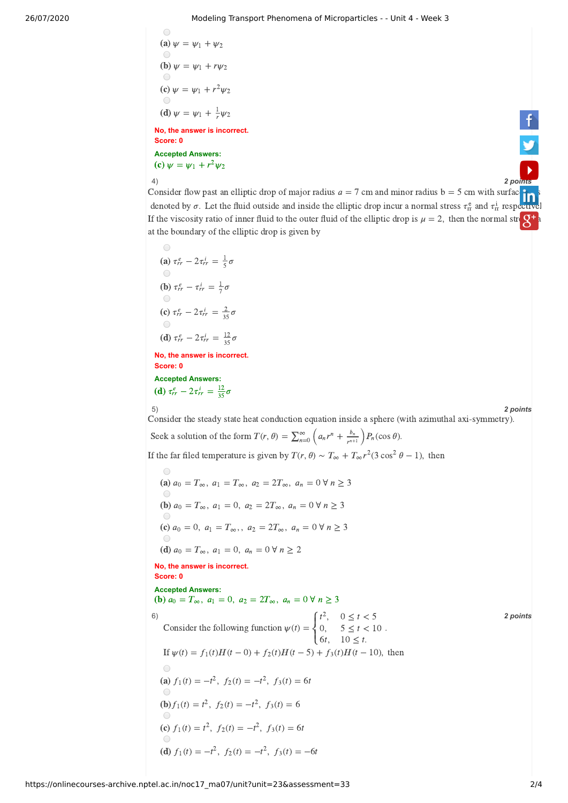## 26/07/2020 Modeling Transport Phenomena of Microparticles - - Unit 4 - Week 3

(a) 
$$
\psi = \psi_1 + \psi_2
$$
  
\n(b)  $\psi = \psi_1 + r\psi_2$   
\n(c)  $\psi = \psi_1 + r^2\psi_2$   
\n(d)  $\psi = \psi_1 + \frac{1}{r}\psi_2$   
\n**No, the answer is incorrect.**  
\n**Score: 0**  
\n**Accepted Answers:**  
\n(c)  $\psi = \psi_1 + r^2\psi_2$ 

 $\bigcirc$ 

4) *2 [points](https://www.youtube.com/user/nptelhrd)*

Consider flow past an elliptic drop of major radius  $a = 7$  cm and minor radius  $b = 5$  cm with surface the s denoted by  $\sigma$ . Let the fluid outside and inside the elliptic drop incur a normal stress  $\tau_{rr}^e$  and  $\tau_{rr}^i$  re[spectivel](https://www.linkedin.com/company/nptel/) If the viscosity ratio of inner fluid to the outer fluid of the elliptic drop is  $\mu = 2$ , then the normal strong  $\mathbf{S}^+$ at the boundary of the elliptic drop is given by

 $\bigcap$ (a)  $\tau_{rr}^e - 2\tau_{rr}^i = \frac{1}{5}\sigma$ 5 **(b)**  $\tau_{rr}^e - \tau_{rr}^i = \frac{1}{7}\sigma$ (c)  $\tau_{rr}^e - 2\tau_{rr}^i = \frac{2}{35}\sigma$ 35 (d)  $\tau_{rr}^e - 2\tau_{rr}^i = \frac{12}{35}\sigma$ 35 **No, the answer is incorrect. Score: 0 Accepted Answers:** (d)  $\tau_{rr}^e - 2\tau_{rr}^i = \frac{12}{35}\sigma$ 35

$$
5
$$

5) *2 points*

Consider the steady state heat conduction equation inside a sphere (with azimuthal axi-symmetry). Seek a solution of the form  $T(r, \theta) = \sum_{n=0}^{\infty} \left( a_n r^n + \frac{b_n}{r^{n+1}} \right) P_n(\cos \theta)$ .  $\frac{v_n}{r^{n+1}}$   $\Big)P_n($ If the far filed temperature is given by  $T(r, \theta) \sim T_{\infty} + T_{\infty} r^2 (3 \cos^2 \theta - 1)$ , then

6)  $\int_0^1 t^2$ ,  $0 < t < 5$  **2 points No, the answer is incorrect. Score: 0 Accepted Answers:** (a)  $a_0 = T_{\infty}, a_1 = T_{\infty}, a_2 = 2T_{\infty}, a_n = 0 \forall n \ge 3$ (**b**)  $a_0 = T_\infty$ ,  $a_1 = 0$ ,  $a_2 = 2T_\infty$ ,  $a_n = 0 \forall n \ge 3$ (c)  $a_0 = 0$ ,  $a_1 = T_{\infty}$ ,  $a_2 = 2T_{\infty}$ ,  $a_n = 0 \forall n \ge 3$ (d)  $a_0 = T_\infty$ ,  $a_1 = 0$ ,  $a_n = 0 \,\forall n \ge 2$ (**b**)  $a_0 = T_\infty$ ,  $a_1 = 0$ ,  $a_2 = 2T_\infty$ ,  $a_n = 0 \forall n \ge 3$ Consider the following function  $\psi(t) = \begin{cases} 0, & 5 \le t < 10 \end{cases}$ .  $\lceil t \rceil$ l<sup>(</sup>  $\left\{ \right\}$  $\Gamma$  $t^2$ , 0, 6,  $0 \le t < 5$  $5 \le t < 10$  $10 \leq t$ . If  $\psi(t) = f_1(t)H(t-0) + f_2(t)H(t-5) + f_3(t)H(t-10)$ , then (a)  $f_1(t) = -t^2$ ,  $f_2(t) = -t^2$ ,  $f_3(t) = 6t$ **(b)**  $f_1(t) = t^2$ ,  $f_2(t) = -t^2$ ,  $f_3(t) = 6$ (c)  $f_1(t) = t^2$ ,  $f_2(t) = -t^2$ ,  $f_3(t) = 6t$ (d)  $f_1(t) = -t^2$ ,  $f_2(t) = -t^2$ ,  $f_3(t) = -6t$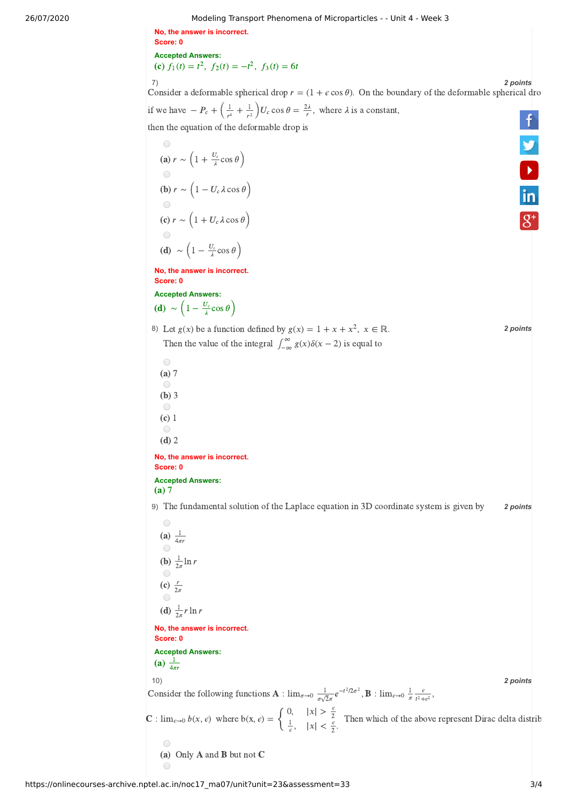26/07/2020 Modeling Transport Phenomena of Microparticles - - Unit 4 - Week 3

**No, the answer is incorrect. Score: 0 Accepted Answers:** (c)  $f_1(t) = t^2$ ,  $f_2(t) = -t^2$ ,  $f_3(t) = 6t$ 



7) *2 points* Consider a deformable spherical drop  $r = (1 + \epsilon \cos \theta)$ . On the boundary of the deformable spherical dro if we have  $-P_c + \left(\frac{1}{r^4} + \frac{1}{r^2}\right)U_c \cos \theta = \frac{2\lambda}{r}$ , where  $\lambda$  is a constant,  $\frac{1}{r^4} + \frac{1}{r^2}$  $\frac{1}{r^2}$   $U_c \cos \theta = \frac{2\lambda}{r}$ then the equation of the deformable drop is  $\bigcirc$ 

(a) 
$$
r \sim \left(1 + \frac{U_c}{\lambda} \cos \theta\right)
$$
  
\n(b)  $r \sim \left(1 - U_c \lambda \cos \theta\right)$   
\n(c)  $r \sim \left(1 + U_c \lambda \cos \theta\right)$   
\n(d)  $\sim \left(1 - \frac{U_c}{\lambda} \cos \theta\right)$ 

**No, the answer is incorrect. Score: 0 Accepted Answers:**

- (**d**) ~  $\left(1 \frac{U_c}{\lambda} \cos \theta\right)$ λ
- 8) Let  $g(x)$  be a function defined by  $g(x) = 1 + x + x^2$ ,  $x \in \mathbb{R}$ . 2 points
	- Then the value of the integral  $\int_{-\infty}^{\infty} g(x)\delta(x-2)$  is equal to −∞
	- $\bigcirc$  $(a) 7$  $\bigcap$  $(b)$  3  $\bigcirc$
- $(c)$  1  $\bigcirc$
- $(d)$  2

**No, the answer is incorrect. Score: 0 Accepted Answers:**

 $(a) 7$ 

9) *2 points* The fundamental solution of the Laplace equation in 3D coordinate system is given by

 $\bigcap$ (a)  $\frac{1}{4}$  $4\pi r$ **(b)**  $\frac{1}{2\pi}$ ln r  $2\pi$ (c)  $\frac{r}{2}$  $2\pi$ (**d**)  $\frac{1}{2\pi} r \ln r$  $2\pi$ **No, the answer is incorrect. Score: 0 Accepted Answers:** (a)  $\frac{1}{4}$  $4\pi r$ 10) *2 points* Consider the following functions **A** :  $\lim_{\sigma \to 0} \frac{1}{\sigma^2} e^{-t^2/2\sigma^2}$ , **B** :  $\lim_{\epsilon \to 0} \frac{1}{\sigma^2} \frac{\epsilon}{\epsilon^2}$ ,  $\frac{1}{\sigma\sqrt{2}\pi}e^{-t^2/2\sigma^2}$ , **B** :  $\lim_{\epsilon\to 0} \frac{1}{\pi} \frac{\epsilon}{t^2+\epsilon}$  $t^2+\epsilon^2$  $|x| > \frac{\epsilon}{2}$  $\mathbf{C}: \lim_{\epsilon \to 0} b(x, \epsilon)$  where  $b(x, \epsilon) = \begin{cases} 0, & |x| > \frac{\epsilon}{2} \\ \frac{1}{x}, & |x| < \frac{\epsilon}{2}. \end{cases}$  Then which of the above represent Dirac delta distrit  $|x| < \frac{2}{3}$ .  $\frac{1}{\epsilon}$ , 2 (a) Only  $A$  and  $B$  but not  $C$